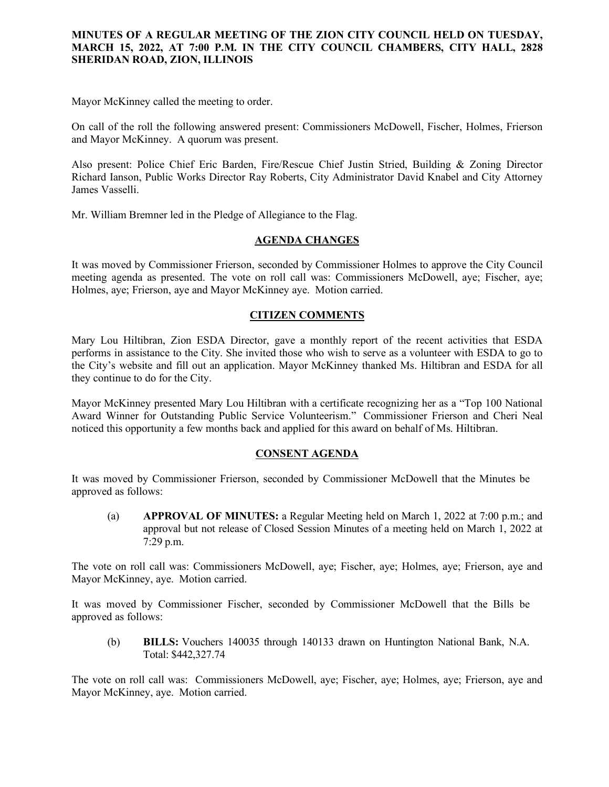## **MINUTES OF A REGULAR MEETING OF THE ZION CITY COUNCIL HELD ON TUESDAY, MARCH 15, 2022, AT 7:00 P.M. IN THE CITY COUNCIL CHAMBERS, CITY HALL, 2828 SHERIDAN ROAD, ZION, ILLINOIS**

Mayor McKinney called the meeting to order.

On call of the roll the following answered present: Commissioners McDowell, Fischer, Holmes, Frierson and Mayor McKinney. A quorum was present.

Also present: Police Chief Eric Barden, Fire/Rescue Chief Justin Stried, Building & Zoning Director Richard Ianson, Public Works Director Ray Roberts, City Administrator David Knabel and City Attorney James Vasselli.

Mr. William Bremner led in the Pledge of Allegiance to the Flag.

## **AGENDA CHANGES**

It was moved by Commissioner Frierson, seconded by Commissioner Holmes to approve the City Council meeting agenda as presented. The vote on roll call was: Commissioners McDowell, aye; Fischer, aye; Holmes, aye; Frierson, aye and Mayor McKinney aye. Motion carried.

#### **CITIZEN COMMENTS**

Mary Lou Hiltibran, Zion ESDA Director, gave a monthly report of the recent activities that ESDA performs in assistance to the City. She invited those who wish to serve as a volunteer with ESDA to go to the City's website and fill out an application. Mayor McKinney thanked Ms. Hiltibran and ESDA for all they continue to do for the City.

Mayor McKinney presented Mary Lou Hiltibran with a certificate recognizing her as a "Top 100 National Award Winner for Outstanding Public Service Volunteerism." Commissioner Frierson and Cheri Neal noticed this opportunity a few months back and applied for this award on behalf of Ms. Hiltibran.

## **CONSENT AGENDA**

It was moved by Commissioner Frierson, seconded by Commissioner McDowell that the Minutes be approved as follows:

(a) **APPROVAL OF MINUTES:** a Regular Meeting held on March 1, 2022 at 7:00 p.m.; and approval but not release of Closed Session Minutes of a meeting held on March 1, 2022 at 7:29 p.m.

The vote on roll call was: Commissioners McDowell, aye; Fischer, aye; Holmes, aye; Frierson, aye and Mayor McKinney, aye. Motion carried.

It was moved by Commissioner Fischer, seconded by Commissioner McDowell that the Bills be approved as follows:

(b) **BILLS:** Vouchers 140035 through 140133 drawn on Huntington National Bank, N.A. Total: \$442,327.74

The vote on roll call was: Commissioners McDowell, aye; Fischer, aye; Holmes, aye; Frierson, aye and Mayor McKinney, aye. Motion carried.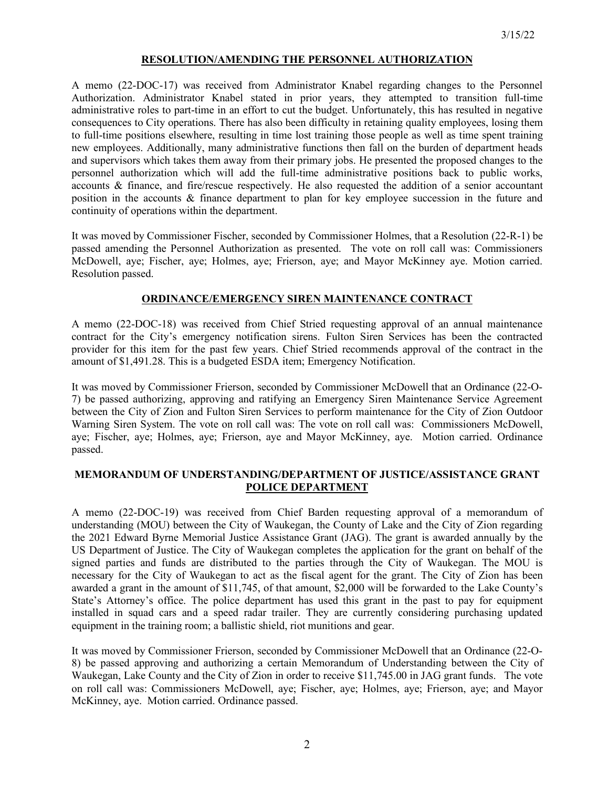# **RESOLUTION/AMENDING THE PERSONNEL AUTHORIZATION**

A memo (22-DOC-17) was received from Administrator Knabel regarding changes to the Personnel Authorization. Administrator Knabel stated in prior years, they attempted to transition full-time administrative roles to part-time in an effort to cut the budget. Unfortunately, this has resulted in negative consequences to City operations. There has also been difficulty in retaining quality employees, losing them to full-time positions elsewhere, resulting in time lost training those people as well as time spent training new employees. Additionally, many administrative functions then fall on the burden of department heads and supervisors which takes them away from their primary jobs. He presented the proposed changes to the personnel authorization which will add the full-time administrative positions back to public works, accounts & finance, and fire/rescue respectively. He also requested the addition of a senior accountant position in the accounts & finance department to plan for key employee succession in the future and continuity of operations within the department.

It was moved by Commissioner Fischer, seconded by Commissioner Holmes, that a Resolution (22-R-1) be passed amending the Personnel Authorization as presented. The vote on roll call was: Commissioners McDowell, aye; Fischer, aye; Holmes, aye; Frierson, aye; and Mayor McKinney aye. Motion carried. Resolution passed.

# **ORDINANCE/EMERGENCY SIREN MAINTENANCE CONTRACT**

A memo (22-DOC-18) was received from Chief Stried requesting approval of an annual maintenance contract for the City's emergency notification sirens. Fulton Siren Services has been the contracted provider for this item for the past few years. Chief Stried recommends approval of the contract in the amount of \$1,491.28. This is a budgeted ESDA item; Emergency Notification.

It was moved by Commissioner Frierson, seconded by Commissioner McDowell that an Ordinance (22-O-7) be passed authorizing, approving and ratifying an Emergency Siren Maintenance Service Agreement between the City of Zion and Fulton Siren Services to perform maintenance for the City of Zion Outdoor Warning Siren System. The vote on roll call was: The vote on roll call was: Commissioners McDowell, aye; Fischer, aye; Holmes, aye; Frierson, aye and Mayor McKinney, aye. Motion carried. Ordinance passed.

# **MEMORANDUM OF UNDERSTANDING/DEPARTMENT OF JUSTICE/ASSISTANCE GRANT POLICE DEPARTMENT**

A memo (22-DOC-19) was received from Chief Barden requesting approval of a memorandum of understanding (MOU) between the City of Waukegan, the County of Lake and the City of Zion regarding the 2021 Edward Byrne Memorial Justice Assistance Grant (JAG). The grant is awarded annually by the US Department of Justice. The City of Waukegan completes the application for the grant on behalf of the signed parties and funds are distributed to the parties through the City of Waukegan. The MOU is necessary for the City of Waukegan to act as the fiscal agent for the grant. The City of Zion has been awarded a grant in the amount of \$11,745, of that amount, \$2,000 will be forwarded to the Lake County's State's Attorney's office. The police department has used this grant in the past to pay for equipment installed in squad cars and a speed radar trailer. They are currently considering purchasing updated equipment in the training room; a ballistic shield, riot munitions and gear.

It was moved by Commissioner Frierson, seconded by Commissioner McDowell that an Ordinance (22-O-8) be passed approving and authorizing a certain Memorandum of Understanding between the City of Waukegan, Lake County and the City of Zion in order to receive \$11,745.00 in JAG grant funds. The vote on roll call was: Commissioners McDowell, aye; Fischer, aye; Holmes, aye; Frierson, aye; and Mayor McKinney, aye. Motion carried. Ordinance passed.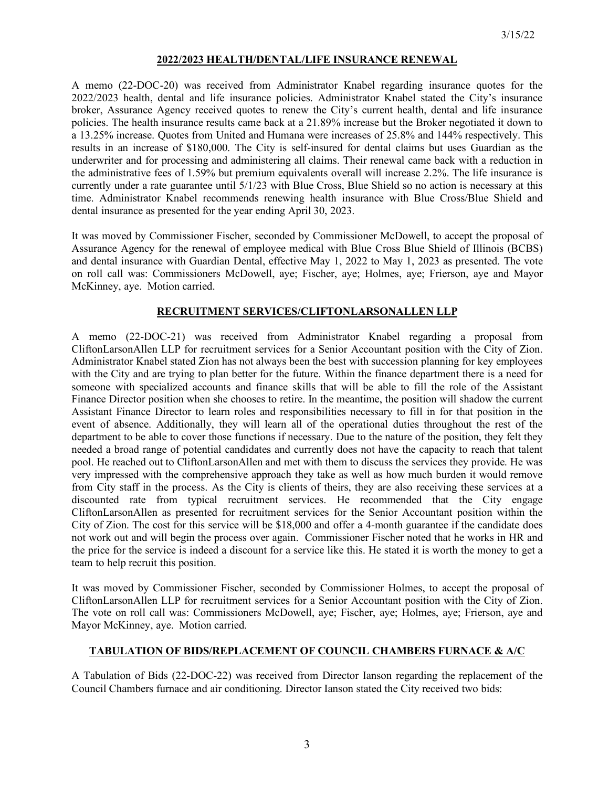# **2022/2023 HEALTH/DENTAL/LIFE INSURANCE RENEWAL**

A memo (22-DOC-20) was received from Administrator Knabel regarding insurance quotes for the 2022/2023 health, dental and life insurance policies. Administrator Knabel stated the City's insurance broker, Assurance Agency received quotes to renew the City's current health, dental and life insurance policies. The health insurance results came back at a 21.89% increase but the Broker negotiated it down to a 13.25% increase. Quotes from United and Humana were increases of 25.8% and 144% respectively. This results in an increase of \$180,000. The City is self-insured for dental claims but uses Guardian as the underwriter and for processing and administering all claims. Their renewal came back with a reduction in the administrative fees of 1.59% but premium equivalents overall will increase 2.2%. The life insurance is currently under a rate guarantee until 5/1/23 with Blue Cross, Blue Shield so no action is necessary at this time. Administrator Knabel recommends renewing health insurance with Blue Cross/Blue Shield and dental insurance as presented for the year ending April 30, 2023.

It was moved by Commissioner Fischer, seconded by Commissioner McDowell, to accept the proposal of Assurance Agency for the renewal of employee medical with Blue Cross Blue Shield of Illinois (BCBS) and dental insurance with Guardian Dental, effective May 1, 2022 to May 1, 2023 as presented. The vote on roll call was: Commissioners McDowell, aye; Fischer, aye; Holmes, aye; Frierson, aye and Mayor McKinney, aye. Motion carried.

# **RECRUITMENT SERVICES/CLIFTONLARSONALLEN LLP**

A memo (22-DOC-21) was received from Administrator Knabel regarding a proposal from CliftonLarsonAllen LLP for recruitment services for a Senior Accountant position with the City of Zion. Administrator Knabel stated Zion has not always been the best with succession planning for key employees with the City and are trying to plan better for the future. Within the finance department there is a need for someone with specialized accounts and finance skills that will be able to fill the role of the Assistant Finance Director position when she chooses to retire. In the meantime, the position will shadow the current Assistant Finance Director to learn roles and responsibilities necessary to fill in for that position in the event of absence. Additionally, they will learn all of the operational duties throughout the rest of the department to be able to cover those functions if necessary. Due to the nature of the position, they felt they needed a broad range of potential candidates and currently does not have the capacity to reach that talent pool. He reached out to CliftonLarsonAllen and met with them to discuss the services they provide. He was very impressed with the comprehensive approach they take as well as how much burden it would remove from City staff in the process. As the City is clients of theirs, they are also receiving these services at a discounted rate from typical recruitment services. He recommended that the City engage CliftonLarsonAllen as presented for recruitment services for the Senior Accountant position within the City of Zion. The cost for this service will be \$18,000 and offer a 4-month guarantee if the candidate does not work out and will begin the process over again. Commissioner Fischer noted that he works in HR and the price for the service is indeed a discount for a service like this. He stated it is worth the money to get a team to help recruit this position.

It was moved by Commissioner Fischer, seconded by Commissioner Holmes, to accept the proposal of CliftonLarsonAllen LLP for recruitment services for a Senior Accountant position with the City of Zion. The vote on roll call was: Commissioners McDowell, aye; Fischer, aye; Holmes, aye; Frierson, aye and Mayor McKinney, aye. Motion carried.

# **TABULATION OF BIDS/REPLACEMENT OF COUNCIL CHAMBERS FURNACE & A/C**

A Tabulation of Bids (22-DOC-22) was received from Director Ianson regarding the replacement of the Council Chambers furnace and air conditioning. Director Ianson stated the City received two bids: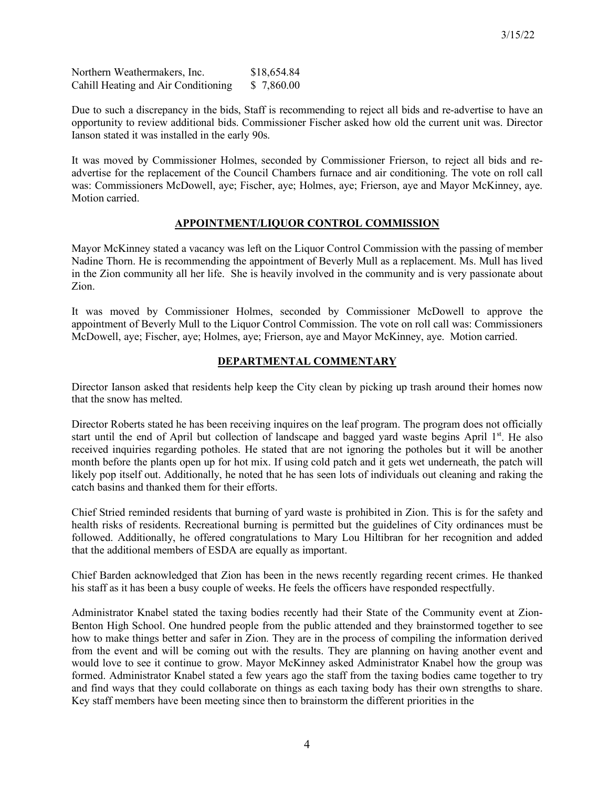Northern Weathermakers, Inc. \$18,654.84 Cahill Heating and Air Conditioning  $$7,860.00$ 

Due to such a discrepancy in the bids, Staff is recommending to reject all bids and re-advertise to have an opportunity to review additional bids. Commissioner Fischer asked how old the current unit was. Director Ianson stated it was installed in the early 90s.

It was moved by Commissioner Holmes, seconded by Commissioner Frierson, to reject all bids and readvertise for the replacement of the Council Chambers furnace and air conditioning. The vote on roll call was: Commissioners McDowell, aye; Fischer, aye; Holmes, aye; Frierson, aye and Mayor McKinney, aye. Motion carried.

# **APPOINTMENT/LIQUOR CONTROL COMMISSION**

Mayor McKinney stated a vacancy was left on the Liquor Control Commission with the passing of member Nadine Thorn. He is recommending the appointment of Beverly Mull as a replacement. Ms. Mull has lived in the Zion community all her life. She is heavily involved in the community and is very passionate about Zion.

It was moved by Commissioner Holmes, seconded by Commissioner McDowell to approve the appointment of Beverly Mull to the Liquor Control Commission. The vote on roll call was: Commissioners McDowell, aye; Fischer, aye; Holmes, aye; Frierson, aye and Mayor McKinney, aye. Motion carried.

## **DEPARTMENTAL COMMENTARY**

Director Ianson asked that residents help keep the City clean by picking up trash around their homes now that the snow has melted.

Director Roberts stated he has been receiving inquires on the leaf program. The program does not officially start until the end of April but collection of landscape and bagged yard waste begins April 1<sup>st</sup>. He also received inquiries regarding potholes. He stated that are not ignoring the potholes but it will be another month before the plants open up for hot mix. If using cold patch and it gets wet underneath, the patch will likely pop itself out. Additionally, he noted that he has seen lots of individuals out cleaning and raking the catch basins and thanked them for their efforts.

Chief Stried reminded residents that burning of yard waste is prohibited in Zion. This is for the safety and health risks of residents. Recreational burning is permitted but the guidelines of City ordinances must be followed. Additionally, he offered congratulations to Mary Lou Hiltibran for her recognition and added that the additional members of ESDA are equally as important.

Chief Barden acknowledged that Zion has been in the news recently regarding recent crimes. He thanked his staff as it has been a busy couple of weeks. He feels the officers have responded respectfully.

Administrator Knabel stated the taxing bodies recently had their State of the Community event at Zion-Benton High School. One hundred people from the public attended and they brainstormed together to see how to make things better and safer in Zion. They are in the process of compiling the information derived from the event and will be coming out with the results. They are planning on having another event and would love to see it continue to grow. Mayor McKinney asked Administrator Knabel how the group was formed. Administrator Knabel stated a few years ago the staff from the taxing bodies came together to try and find ways that they could collaborate on things as each taxing body has their own strengths to share. Key staff members have been meeting since then to brainstorm the different priorities in the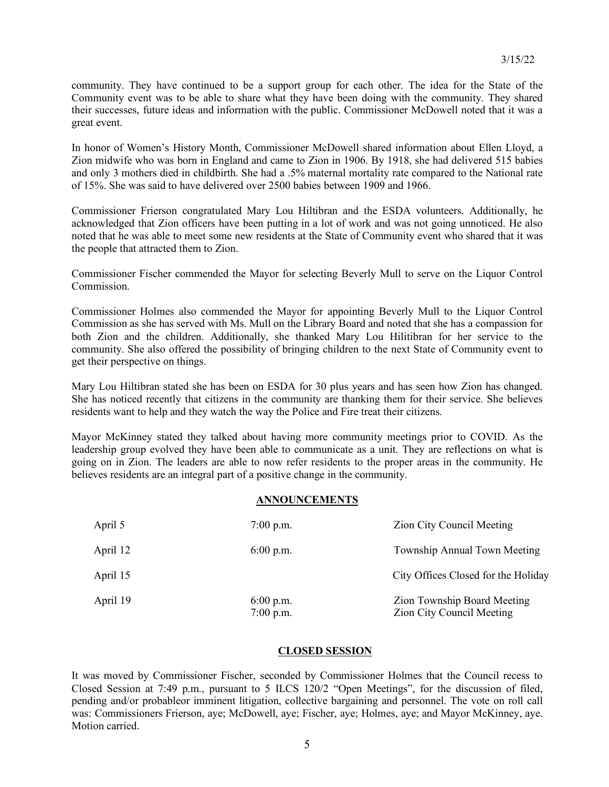community. They have continued to be a support group for each other. The idea for the State of the Community event was to be able to share what they have been doing with the community. They shared their successes, future ideas and information with the public. Commissioner McDowell noted that it was a great event.

In honor of Women's History Month, Commissioner McDowell shared information about Ellen Lloyd, a Zion midwife who was born in England and came to Zion in 1906. By 1918, she had delivered 515 babies and only 3 mothers died in childbirth. She had a .5% maternal mortality rate compared to the National rate of 15%. She was said to have delivered over 2500 babies between 1909 and 1966.

Commissioner Frierson congratulated Mary Lou Hiltibran and the ESDA volunteers. Additionally, he acknowledged that Zion officers have been putting in a lot of work and was not going unnoticed. He also noted that he was able to meet some new residents at the State of Community event who shared that it was the people that attracted them to Zion.

Commissioner Fischer commended the Mayor for selecting Beverly Mull to serve on the Liquor Control Commission.

Commissioner Holmes also commended the Mayor for appointing Beverly Mull to the Liquor Control Commission as she has served with Ms. Mull on the Library Board and noted that she has a compassion for both Zion and the children. Additionally, she thanked Mary Lou Hilitibran for her service to the community. She also offered the possibility of bringing children to the next State of Community event to get their perspective on things.

Mary Lou Hiltibran stated she has been on ESDA for 30 plus years and has seen how Zion has changed. She has noticed recently that citizens in the community are thanking them for their service. She believes residents want to help and they watch the way the Police and Fire treat their citizens.

Mayor McKinney stated they talked about having more community meetings prior to COVID. As the leadership group evolved they have been able to communicate as a unit. They are reflections on what is going on in Zion. The leaders are able to now refer residents to the proper areas in the community. He believes residents are an integral part of a positive change in the community.

#### **ANNOUNCEMENTS**

| April 5  | $7:00$ p.m.                | Zion City Council Meeting                                |
|----------|----------------------------|----------------------------------------------------------|
| April 12 | $6:00$ p.m.                | Township Annual Town Meeting                             |
| April 15 |                            | City Offices Closed for the Holiday                      |
| April 19 | $6:00$ p.m.<br>$7:00$ p.m. | Zion Township Board Meeting<br>Zion City Council Meeting |

#### **CLOSED SESSION**

It was moved by Commissioner Fischer, seconded by Commissioner Holmes that the Council recess to Closed Session at 7:49 p.m., pursuant to 5 ILCS 120/2 "Open Meetings", for the discussion of filed, pending and/or probableor imminent litigation, collective bargaining and personnel. The vote on roll call was: Commissioners Frierson, aye; McDowell, aye; Fischer, aye; Holmes, aye; and Mayor McKinney, aye. Motion carried.